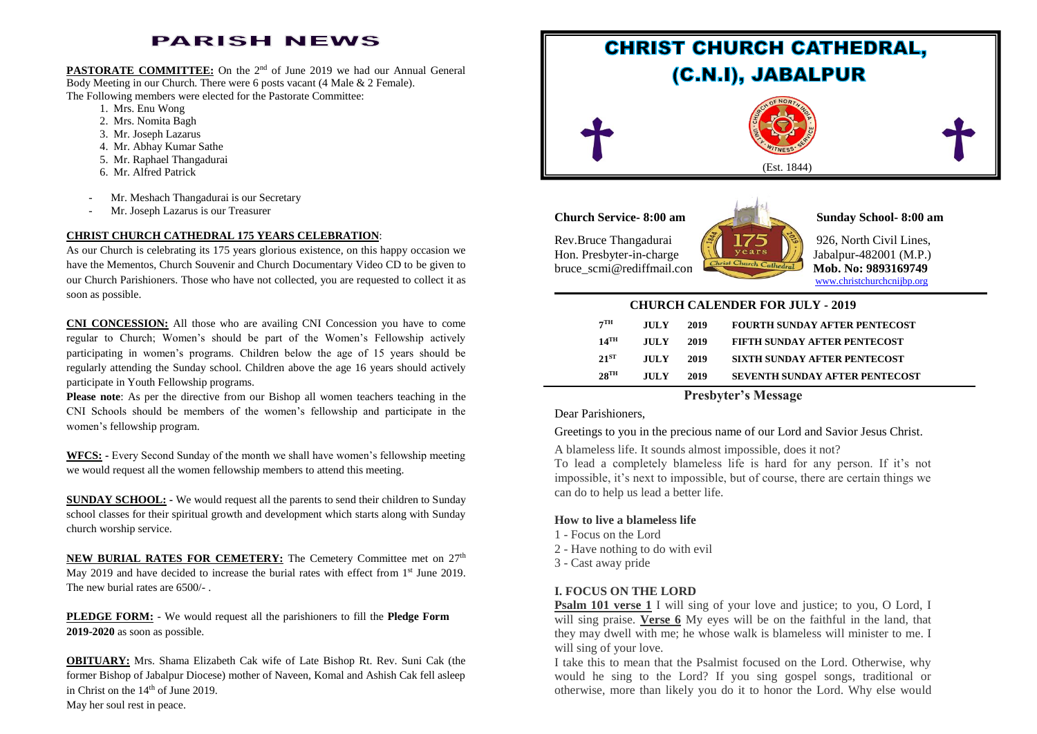# **PARISH NEWS**

**PASTORATE COMMITTEE:** On the 2<sup>nd</sup> of June 2019 we had our Annual General Body Meeting in our Church. There were 6 posts vacant (4 Male & 2 Female). The Following members were elected for the Pastorate Committee:

- 1. Mrs. Enu Wong
- 2. Mrs. Nomita Bagh
- 3. Mr. Joseph Lazarus
- 4. Mr. Abhay Kumar Sathe
- 5. Mr. Raphael Thangadurai
- 6. Mr. Alfred Patrick
- Mr. Meshach Thangadurai is our Secretary
- Mr. Joseph Lazarus is our Treasurer

#### **CHRIST CHURCH CATHEDRAL 175 YEARS CELEBRATION**:

As our Church is celebrating its 175 years glorious existence, on this happy occasion we have the Mementos, Church Souvenir and Church Documentary Video CD to be given to our Church Parishioners. Those who have not collected, you are requested to collect it as soon as possible.

**CNI CONCESSION:** All those who are availing CNI Concession you have to come regular to Church; Women's should be part of the Women's Fellowship actively participating in women's programs. Children below the age of 15 years should be regularly attending the Sunday school. Children above the age 16 years should actively participate in Youth Fellowship programs.

**Please note**: As per the directive from our Bishop all women teachers teaching in the CNI Schools should be members of the women's fellowship and participate in the women's fellowship program.

**WFCS: -** Every Second Sunday of the month we shall have women's fellowship meeting we would request all the women fellowship members to attend this meeting.

**SUNDAY SCHOOL: -** We would request all the parents to send their children to Sunday school classes for their spiritual growth and development which starts along with Sunday church worship service.

**NEW BURIAL RATES FOR CEMETERY:** The Cemetery Committee met on 27<sup>th</sup> May 2019 and have decided to increase the burial rates with effect from  $1<sup>st</sup>$  June 2019. The new burial rates are 6500/-

**PLEDGE FORM:** - We would request all the parishioners to fill the **Pledge Form 2019-2020** as soon as possible.

**OBITUARY:** Mrs. Shama Elizabeth Cak wife of Late Bishop Rt. Rev. Suni Cak (the former Bishop of Jabalpur Diocese) mother of Naveen, Komal and Ashish Cak fell asleep in Christ on the  $14<sup>th</sup>$  of June 2019.



### **Church Service- 8:00 am Sunday School- 8:00 am**

Rev.Bruce Thangadurai  $\sqrt{\frac{3}{2}}$  175 \\\ 926, North Civil Lines, Hon. Presbyter-in-charge  $\sqrt{\sqrt{\sqrt{2\pi}}}$  Jabalpur-482001 (M.P.) bruce\_scmi@rediffmail.com Mob. No: 9893169749



[www.christchurchcnijbp.org](http://www.christchurchcnijbp.org/)

### **CHURCH CALENDER FOR JULY - 2019**

| $7^{\mathrm{TH}}$  | <b>JULY</b> | 2019 | <b>FOURTH SUNDAY AFTER PENTECOST</b>  |
|--------------------|-------------|------|---------------------------------------|
| $14$ <sup>TH</sup> | <b>JULY</b> | 2019 | <b>FIFTH SUNDAY AFTER PENTECOST</b>   |
| $21^{ST}$          | <b>JULY</b> | 2019 | <b>SIXTH SUNDAY AFTER PENTECOST</b>   |
| $28$ <sup>TH</sup> | <b>HILY</b> | 2019 | <b>SEVENTH SUNDAY AFTER PENTECOST</b> |

## **Presbyter's Message**

Dear Parishioners,

Greetings to you in the precious name of our Lord and Savior Jesus Christ.

A blameless life. It sounds almost impossible, does it not?

To lead a completely blameless life is hard for any person. If it's not impossible, it's next to impossible, but of course, there are certain things we can do to help us lead a better life.

#### **How to live a blameless life**

- 1 Focus on the Lord
- 2 Have nothing to do with evil
- 3 Cast away pride

#### **I. FOCUS ON THE LORD**

**Psalm 101 verse 1** I will sing of your love and justice; to you, O Lord, I will sing praise. **Verse 6** My eyes will be on the faithful in the land, that they may dwell with me; he whose walk is blameless will minister to me. I will sing of your love.

I take this to mean that the Psalmist focused on the Lord. Otherwise, why would he sing to the Lord? If you sing gospel songs, traditional or otherwise, more than likely you do it to honor the Lord. Why else would

May her soul rest in peace.